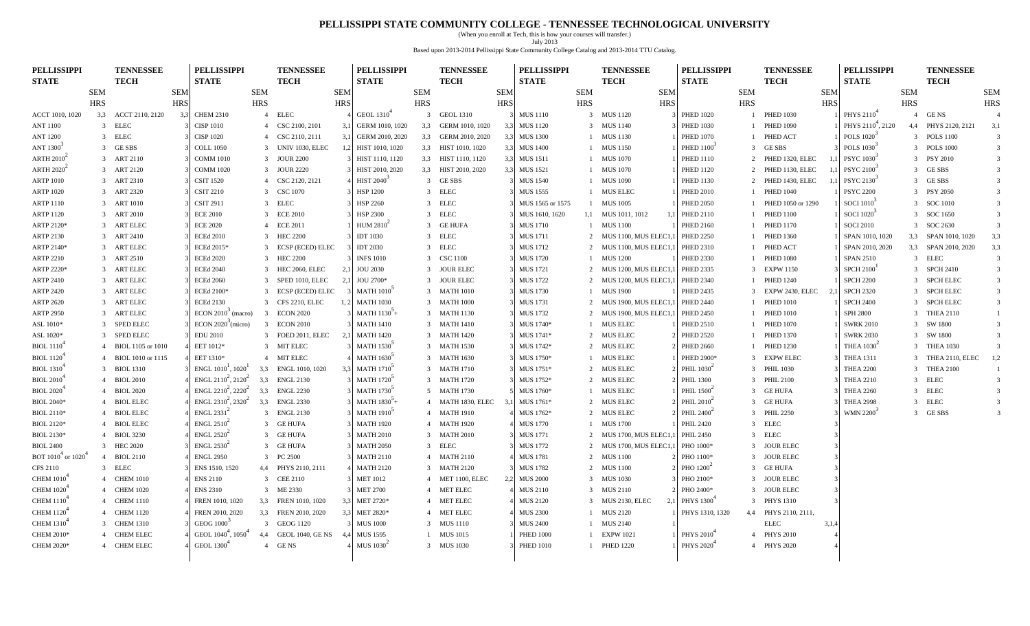#### **PELLISSIPPI STATE COMMUNITY COLLEGE - TENNESSEE TECHNOLOGICAL UNIVERSITY**

(When you enroll at Tech, this is how your courses will transfer.) July 2013 Based upon 2013-2014 Pellissippi State Community College Catalog and 2013-2014 TTU Catalog.

| Based upon 2019-2014 Femssippi state Community Conege Catalog and 2019-2014 TTO Catalog |                |                                 |            |                                              |                |                                 |            |                                    |            |                                 |            |                                    |            |                                   |                                    |                |                                 |            |                                    |            |                                 |                         |
|-----------------------------------------------------------------------------------------|----------------|---------------------------------|------------|----------------------------------------------|----------------|---------------------------------|------------|------------------------------------|------------|---------------------------------|------------|------------------------------------|------------|-----------------------------------|------------------------------------|----------------|---------------------------------|------------|------------------------------------|------------|---------------------------------|-------------------------|
| <b>PELLISSIPPI</b><br><b>STATE</b>                                                      |                | <b>TENNESSEE</b><br><b>TECH</b> |            | <b>PELLISSIPPI</b><br><b>STATE</b>           |                | <b>TENNESSEE</b><br><b>TECH</b> |            | <b>PELLISSIPPI</b><br><b>STATE</b> |            | <b>TENNESSEE</b><br><b>TECH</b> |            | <b>PELLISSIPPI</b><br><b>STATE</b> |            | <b>TENNESSEE</b><br><b>TECH</b>   | <b>PELLISSIPPI</b><br><b>STATE</b> |                | <b>TENNESSEE</b><br><b>TECH</b> |            | <b>PELLISSIPPI</b><br><b>STATE</b> |            | <b>TENNESSEE</b><br><b>TECH</b> |                         |
|                                                                                         | <b>SEM</b>     |                                 | <b>SEM</b> |                                              | <b>SEM</b>     |                                 | <b>SEM</b> |                                    | <b>SEM</b> |                                 | <b>SEM</b> |                                    | <b>SEM</b> | <b>SEM</b>                        |                                    | <b>SEM</b>     |                                 | <b>SEM</b> |                                    | <b>SEM</b> |                                 | <b>SEM</b>              |
|                                                                                         | <b>HRS</b>     |                                 | <b>HRS</b> |                                              | <b>HRS</b>     |                                 | <b>HRS</b> |                                    | <b>HRS</b> |                                 | <b>HRS</b> |                                    | <b>HRS</b> | <b>HRS</b>                        |                                    | <b>HRS</b>     |                                 | <b>HRS</b> |                                    | <b>HRS</b> |                                 | <b>HRS</b>              |
| ACCT 1010, 1020                                                                         |                | 3,3 ACCT 2110, 2120             | 3,3        | <b>CHEM 2310</b>                             |                | 4 ELEC                          |            | GEOL 1310 <sup>4</sup>             |            | 3 GEOL 1310                     |            | <b>MUS 1110</b>                    |            | 3 MUS 1120                        | <b>PHED 1020</b>                   |                | 1 PHED 1030                     |            | PHYS 2110 <sup>4</sup>             |            | 4 GENS                          |                         |
| <b>ANT 1100</b>                                                                         | $\overline{3}$ | <b>ELEC</b>                     |            | <b>CISP 1010</b>                             | 4              | CSC 2100, 2101                  | 3,         | GERM 1010, 1020                    | 3,3        | GERM 1010, 1020                 | 3,3        | <b>MUS 1120</b>                    |            | 3 MUS 1140                        | <b>PHED 1030</b>                   |                | <b>PHED 1090</b>                |            | PHYS 2110 <sup>4</sup> , 2120      |            | 4,4 PHYS 2120, 2121             | 3,1                     |
| <b>ANT 1200</b>                                                                         |                | 3 ELEC                          |            | <b>CISP 1020</b>                             |                | 4 CSC 2110, 2111                | -3.        | GERM 2010, 2020                    |            | 3,3 GERM 2010, 2020             | 3.3        | <b>MUS 1300</b>                    |            | 1 MUS 1130                        | <b>PHED 1070</b>                   |                | 1 PHED ACT                      |            | POLS $1020^{\degree}$              |            | 3 POLS 1100                     | $\overline{3}$          |
| ANT 1300 <sup>3</sup>                                                                   |                | 3 GESBS                         |            | <b>COLL 1050</b>                             |                | 3 UNIV 1030, ELEC               |            | HIST 1010, 1020                    |            | 3,3 HIST 1010, 1020             | 3,3        | <b>MUS 1400</b>                    |            | 1 MUS 1150                        | PHED $1100^3$                      | 3              | GE SBS                          |            | POLS 1030 <sup>3</sup>             |            | 3 POLS 1000                     | $\overline{3}$          |
| ARTH $2010^2$                                                                           |                | 3 ART 2110                      |            | <b>COMM 1010</b>                             |                | 3 JOUR 2200                     |            | HIST 1110, 1120                    |            | 3,3 HIST 1110, 1120             | 3,3        | <b>MUS 1511</b>                    |            | 1 MUS 1070                        | <b>PHED 1110</b>                   |                | 2 PHED 1320, ELEC               |            | PSYC 1030 <sup>3</sup>             |            | 3 PSY 2010                      | $\overline{3}$          |
| <b>ARTH 2020</b> <sup>2</sup>                                                           |                | 3 ART 2120                      |            | <b>COMM 1020</b>                             |                | 3 JOUR 2220                     |            | HIST 2010, 2020                    |            | 3,3 HIST 2010, 2020             | 3,3        | <b>MUS 1521</b>                    |            | 1 MUS 1070                        | <b>PHED 1120</b>                   | 2              | PHED 1130, ELEC                 |            | PSYC 2100 <sup>3</sup>             |            | 3 GESBS                         | $\overline{3}$          |
| <b>ARTP 1010</b>                                                                        | $\mathcal{E}$  | ART 2310                        |            | <b>CSIT 1520</b>                             |                | 4 CSC 2120, 2121                |            | <b>HIST 2040</b>                   |            | 3 GESBS                         |            | <b>MUS 1540</b>                    |            | 1 MUS 1090                        | <b>PHED 1130</b>                   |                | PHED 1430, ELEC                 |            | PSYC 2130 <sup>3</sup>             |            | 3 GESBS                         | $\overline{3}$          |
| <b>ARTP 1020</b>                                                                        |                | 3 ART 2320                      |            | <b>CSIT 2210</b>                             |                | 3 CSC 1070                      |            | <b>HSP 1200</b>                    |            | 3 ELEC                          |            | <b>MUS 1555</b>                    |            | 1 MUS ELEC                        | <b>PHED 2010</b>                   | $\mathbf{1}$   | <b>PHED 1040</b>                |            | <b>PSYC 2200</b>                   |            | 3 PSY 2050                      | $\overline{3}$          |
| <b>ARTP 1110</b>                                                                        |                | 3 ART 1010                      |            | <b>CSIT 2911</b>                             |                | 3 ELEC                          |            | <b>HSP 2260</b>                    |            | 3 ELEC                          |            | MUS 1565 or 1575                   |            | 1 MUS 1005                        | <b>PHED 2050</b>                   |                | PHED 1050 or 1290               |            | <b>SOCI 1010</b>                   |            | 3 SOC 1010                      | $\overline{3}$          |
| <b>ARTP 1120</b>                                                                        |                | 3 ART 2010                      |            | <b>ECE 2010</b>                              |                | 3 ECE 2010                      |            | <b>HSP 2300</b>                    |            | 3 ELEC                          |            | MUS 1610, 1620                     |            | 1,1 MUS 1011, 1012                | 1,1 PHED 2110                      | $\mathbf{1}$   | <b>PHED 1100</b>                |            | SOCI $1020$ <sup>3</sup>           |            | 3 SOC 1650                      | $\overline{3}$          |
| ARTP 2120*                                                                              |                | 3 ART ELEC                      |            | <b>ECE 2020</b>                              |                | 4 ECE 2011                      |            | HUM $2810^2$                       |            | 3 GE HUFA                       |            | <b>MUS 1710</b>                    |            | 1 MUS 1100                        | <b>PHED 2160</b>                   | $\mathbf{1}$   | <b>PHED 1170</b>                |            | <b>SOCI 2010</b>                   |            | 3 SOC 2630                      | $\overline{3}$          |
| ARTP 2130                                                                               |                | 3 ART 2410                      |            | <b>ECEd 2010</b>                             |                | 3 HEC 2200                      |            | <b>IDT 1030</b>                    |            | 3 ELEC                          |            | <b>MUS 1711</b>                    |            | 2 MUS 1100, MUS ELEC1,            | <b>PHED 2250</b>                   |                | <b>PHED 1360</b>                |            | SPAN 1010, 1020                    |            | 3,3 SPAN 1010, 1020             | 3,3                     |
| ARTP 2140*                                                                              |                | 3 ART ELEC                      |            | ECEd 2015*                                   |                | 3 ECSP (ECED) ELEC              |            | <b>IDT 2030</b>                    |            | 3 ELEC                          |            | <b>MUS 1712</b>                    |            | 2 MUS 1100, MUS ELEC1,            | <b>PHED 2310</b>                   | -1             | PHED ACT                        |            | SPAN 2010, 2020                    |            | 3,3 SPAN 2010, 2020             | 3,3                     |
| ARTP 2210                                                                               |                | 3 ART 2510                      |            | <b>ECEd 2020</b>                             |                | 3 HEC 2200                      |            | <b>INFS 1010</b>                   |            | 3 CSC 1100                      |            | <b>MUS 1720</b>                    |            | 1 MUS 1200                        | <b>PHED 2330</b>                   |                | <b>PHED 1080</b>                |            | <b>SPAN 2510</b>                   |            | 3 ELEC                          | $\mathbf{3}$            |
| ARTP 2220*                                                                              |                | 3 ART ELEC                      |            | <b>ECEd 2040</b>                             |                | 3 HEC 2060, ELEC                | 2          | <b>JOU 2030</b>                    |            | 3 JOUR ELEC                     |            | <b>MUS 1721</b>                    |            | 2 MUS 1200, MUS ELEC1             | <b>PHED 2335</b>                   | 3              | <b>EXPW 1150</b>                |            | $SPCH 2100$ <sup>1</sup>           |            | 3 SPCH 2410                     | $\overline{\mathbf{3}}$ |
| <b>ARTP 2410</b>                                                                        |                | 3 ART ELEC                      |            | <b>ECEd 2060</b>                             |                | 3 SPED 1010, ELEC               |            | JOU 2700*                          |            | 3 JOUR ELEC                     |            | <b>MUS 1722</b>                    |            | 2 MUS 1200, MUS ELEC1             | <b>PHED 2340</b>                   |                | <b>PHED 1240</b>                |            | <b>SPCH 2200</b>                   |            | 3 SPCH ELEC                     | $\overline{3}$          |
| <b>ARTP 2420</b>                                                                        |                | 3 ART ELEC                      |            | ECEd 2100*                                   |                | 3 ECSP (ECED) ELEC              |            | <b>MATH 1010</b> <sup>3</sup>      |            | 3 MATH 1010                     |            | <b>MUS 1730</b>                    |            | 1 MUS 1900                        | PHED 2435                          | $\mathcal{R}$  | EXPW 2430, ELEC                 | 2,1        | <b>SPCH 2320</b>                   |            | 3 SPCH ELEC                     | $\overline{3}$          |
| <b>ARTP 2620</b>                                                                        |                | 3 ART ELEC                      |            | <b>ECEd 2130</b>                             |                | 3 CFS 2210, ELEC                |            | <b>MATH 1030</b>                   |            | 3 MATH 1000                     |            | <b>MUS 1731</b>                    |            | 2 MUS 1900, MUS ELEC1             | <b>PHED 2440</b>                   | $\mathbf{1}$   | <b>PHED 1010</b>                |            | <b>SPCH 2400</b>                   |            | 3 SPCH ELEC                     | $\overline{\mathbf{3}}$ |
| <b>ARTP 2950</b>                                                                        |                | 3 ART ELEC                      |            | ECON $2010^3$ (macro)                        | $\overline{3}$ | <b>ECON 2020</b>                |            | MATH $1130^3$ +                    |            | 3 MATH 1130                     |            | <b>MUS 1732</b>                    |            | 2 MUS 1900, MUS ELEC1,            | <b>PHED 2450</b>                   | $\overline{1}$ | <b>PHED 1010</b>                |            | <b>SPH 2800</b>                    |            | 3 THEA 2110                     | $\mathbf{1}$            |
| ASL 1010*                                                                               | 3              | <b>SPED ELEC</b>                |            | ECON $2020^3$ (micro)                        | $\overline{3}$ | <b>ECON 2010</b>                |            | <b>MATH 1410</b>                   |            | 3 MATH 1410                     |            | MUS 1740*                          |            | 1 MUS ELEC                        | <b>PHED 2510</b>                   |                | <b>PHED 1070</b>                |            | <b>SWRK 2010</b>                   |            | 3 SW 1800                       | $\overline{3}$          |
| ASL 1020*                                                                               |                | 3 SPED ELEC                     |            | <b>EDU 2010</b>                              |                | 3 FOED 2011, ELEC               |            | <b>MATH 1420</b>                   |            | 3 MATH 1420                     |            | MUS 1741*                          |            | 2 MUS ELEC                        | <b>PHED 2520</b>                   |                | <b>PHED 1370</b>                |            | <b>SWRK 2030</b>                   |            | 3 SW 1800                       | $\overline{3}$          |
| BIOL 1110 <sup>4</sup>                                                                  | $\overline{4}$ | BIOL 1105 or 1010               |            | EET 1012*                                    |                | 3 MIT ELEC                      |            | <b>MATH 1530</b> <sup>2</sup>      |            | 3 MATH 1530                     |            | MUS 1742*                          |            | 2 MUS ELEC                        | <b>PHED 2660</b>                   | -1             | <b>PHED 1230</b>                |            | THEA $1030^2$                      |            | 3 THEA 1030                     |                         |
| <b>BIOL</b> 1120 <sup>4</sup>                                                           |                | 4 BIOL 1010 or 1115             |            | EET 1310*                                    |                | 4 MIT ELEC                      |            | <b>MATH 1630</b> <sup>3</sup>      |            | 3 MATH 1630                     |            | MUS 1750*                          |            | 1 MUS ELEC                        | PHED 2900*                         | 3              | <b>EXPW ELEC</b>                |            | <b>THEA 1311</b>                   |            | 3 THEA 2110, ELEC               | 1,2                     |
| <b>BIOL</b> 1310 <sup>4</sup>                                                           |                | 3 BIOL 1310                     |            | ENGL $1010^1$ , $1020^1$                     | 3,3            | ENGL 1010, 1020                 |            | <b>MATH 1710</b>                   |            | 3 MATH 1710                     |            | MUS 1751*                          |            | 2 MUS ELEC                        | PHIL $1030^2$                      |                | 3 PHIL 1030                     |            | <b>THEA 2200</b>                   |            | 3 THEA 2100                     |                         |
| <b>BIOL 2010</b> <sup>4</sup>                                                           |                | <b>BIOL 2010</b>                |            | ENGL $2110^2$ , $2120^2$                     | 3,3            | <b>ENGL 2130</b>                |            | <b>MATH 1720</b>                   |            | 3 MATH 1720                     |            | MUS 1752*                          |            | 2 MUS ELEC                        | <b>PHIL 1300</b>                   | 3              | <b>PHIL 2100</b>                |            | <b>THEA 2210</b>                   |            | 3 ELEC                          | $\overline{3}$          |
| <b>BIOL 2020</b> <sup>4</sup>                                                           | $\overline{a}$ | <b>BIOL 2020</b>                |            | ENGL $2210^2$ , $2220^2$                     | 3,3            | <b>ENGL 2230</b>                |            | <b>MATH 1730</b>                   |            | 5 MATH 1730                     |            | MUS 1760*                          |            | 1 MUS ELEC                        | PHIL $15002$                       |                | 3 GE HUFA                       |            | <b>THEA 2260</b>                   |            | 3 ELEC                          | 3                       |
| <b>BIOL 2040*</b>                                                                       | $\overline{4}$ | <b>BIOL ELEC</b>                |            | ENGL $2310^2$ , $2320^2$                     | 3,3            | <b>ENGL 2330</b>                |            | MATH $1830^{3}$ +                  |            | 4 MATH 1830, ELEC 3,1           |            | MUS 1761*                          |            | 2 MUS ELEC                        | PHIL $2010^2$                      | 3              | <b>GE HUFA</b>                  |            | <b>THEA 2998</b>                   |            | 3 ELEC                          | 3                       |
| <b>BIOL 2110*</b>                                                                       | $\overline{4}$ | <b>BIOL ELEC</b>                |            | $ENGL$ 2331 <sup>2</sup>                     |                | 3 ENGL 2130                     |            | <b>MATH 1910</b>                   |            | 4 MATH 1910                     |            | MUS 1762*                          |            | 2 MUS ELEC                        | PHIL 2400 <sup>-</sup>             |                | 3 PHIL 2250                     |            | WMN 2200 <sup>-1</sup>             |            | 3 GESBS                         | $\mathcal{E}$           |
| BIOL 2120*                                                                              |                | 4 BIOL ELEC                     |            | $ENGL$ 2510 <sup><math>\acute{}</math></sup> |                | 3 GE HUFA                       |            | <b>MATH 1920</b>                   |            | 4 MATH 1920                     |            | <b>MUS 1770</b>                    |            | 1 MUS 1700                        | <b>PHIL 2420</b>                   |                | 3 ELEC                          |            |                                    |            |                                 |                         |
| BIOL 2130*                                                                              | $\overline{4}$ | <b>BIOL 3230</b>                |            | $ENGL$ 2520 $^2$                             | $\mathcal{E}$  | <b>GE HUFA</b>                  |            | <b>MATH 2010</b>                   |            | 3 MATH 2010                     |            | <b>MUS 1771</b>                    |            | 2 MUS 1700, MUS ELEC1             | <b>PHIL 2450</b>                   | $\mathcal{R}$  | <b>ELEC</b>                     |            |                                    |            |                                 |                         |
| <b>BIOL 2400</b>                                                                        |                | 3 HEC 2020                      |            | $ENGL$ 2530 <sup><math>\angle</math></sup>   |                | 3 GE HUFA                       |            | <b>MATH 2050</b>                   |            | 3 ELEC                          |            | <b>MUS 1772</b>                    |            | 2 MUS 1700, MUS ELEC1             | PHO 1000*                          |                | 3 JOUR ELEC                     |            |                                    |            |                                 |                         |
| BOT $1010^4$ or $1020^4$                                                                |                | 4 BIOL 2110                     |            | <b>ENGL 2950</b>                             |                | 3 PC 2500                       |            | <b>MATH 2110</b>                   |            | 4 MATH 2110                     |            | <b>MUS 1781</b>                    |            | 2 MUS 1100                        | PHO 1100*                          |                | 3 JOUR ELEC                     |            |                                    |            |                                 |                         |
| <b>CFS 2110</b>                                                                         |                | 3 ELEC                          |            | ENS 1510, 1520                               |                | 4,4 PHYS 2110, 2111             |            | <b>MATH 2120</b>                   |            | 3 MATH 2120                     |            | <b>MUS 1782</b>                    |            | 2 MUS 1100                        | PHO 1200 <sup>-1</sup>             |                | 3 GE HUFA                       |            |                                    |            |                                 |                         |
| CHEM $10104$                                                                            |                | 4 CHEM 1010                     |            | <b>ENS 2110</b>                              |                | 3 CEE 2110                      |            | <b>MET 1012</b>                    |            | 4 MET 1100, ELEC                | 2.2        | <b>MUS 2000</b>                    |            | 3 MUS 1030                        | PHO 2100*                          |                | 3 JOUR ELEC                     |            |                                    |            |                                 |                         |
| <b>CHEM 1020</b> <sup>4</sup>                                                           |                | 4 CHEM 1020                     |            | <b>ENS 2310</b>                              |                | 3 ME 2330                       |            | <b>MET 2700</b>                    |            | 4 MET ELEC                      |            | <b>MUS 2110</b>                    |            | 3 MUS 2110                        | PHO 2400*                          | 3              | <b>JOUR ELEC</b>                |            |                                    |            |                                 |                         |
| CHEM $11104$                                                                            |                | 4 CHEM 1110                     |            | FREN 1010, 1020                              |                | 3,3 FREN 1010, 1020             |            | MET 2720*                          |            | 4 MET ELEC                      |            | <b>MUS 2120</b>                    |            | 3 MUS 2130, ELEC<br>$\mathcal{L}$ | PHYS 1300 <sup>4</sup>             |                | 3 PHYS 1310                     |            |                                    |            |                                 |                         |
| CHEM $11204$                                                                            |                | 4 CHEM 1120                     |            | FREN 2010, 2020                              |                | 3,3 FREN 2010, 2020             |            | MET 2820*                          |            | 4 MET ELEC                      |            | <b>MUS 2300</b>                    |            | 1 MUS 2120                        | PHYS 1310, 1320                    |                | 4,4 PHYS 2110, 2111,            |            |                                    |            |                                 |                         |
| CHEM 1310 <sup>4</sup>                                                                  |                | 3 CHEM 1310                     |            | GEOG 1000 <sup>3</sup>                       |                | 3 GEOG 1120                     |            | <b>MUS 1000</b>                    |            | 3 MUS 1110                      |            | <b>MUS 2400</b>                    |            | 1 MUS 2140                        |                                    |                | <b>ELEC</b>                     | 3,1,4      |                                    |            |                                 |                         |
| CHEM 2010*                                                                              |                | 4 CHEM ELEC                     |            | GEOL 1040 <sup>4</sup> , 1050 <sup>4</sup>   | 4.4            | <b>GEOL 1040, GE NS</b>         |            | <b>MUS 1595</b>                    |            | 1 MUS 1015                      |            | <b>PHED 1000</b>                   |            | 1 EXPW 1021                       | PHYS 2010 <sup>+</sup>             |                | 4 PHYS 2010                     |            |                                    |            |                                 |                         |
| <b>CHEM 2020*</b>                                                                       |                | 4 CHEM ELEC                     |            | <b>GEOL 1300</b> <sup>4</sup>                |                | 4 GENS                          |            | MUS 1030 <sup>-1</sup>             |            | 3 MUS 1030                      |            | <b>PHED 1010</b>                   |            | 1 PHED 1220                       | PHYS 2020                          |                | 4 PHYS 2020                     |            |                                    |            |                                 |                         |
|                                                                                         |                |                                 |            |                                              |                |                                 |            |                                    |            |                                 |            |                                    |            |                                   |                                    |                |                                 |            |                                    |            |                                 |                         |